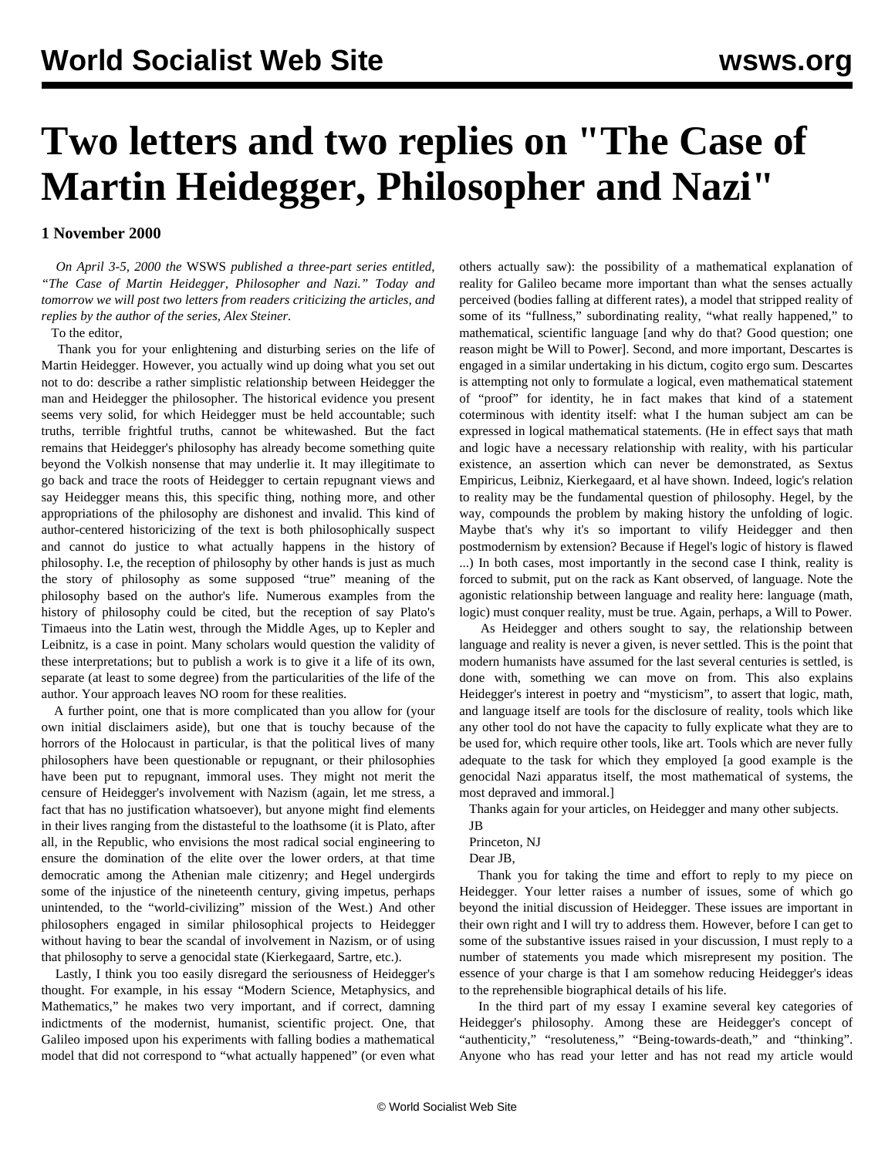## **Two letters and two replies on "The Case of Martin Heidegger, Philosopher and Nazi"**

**1 November 2000**

 *On April 3-5, 2000 the* WSWS *published a three-part series entitled, "The Case of Martin Heidegger, Philosopher and Nazi." Today and tomorrow we will post two letters from readers criticizing the articles, and replies by the author of the series, Alex Steiner.*

## To the editor,

 Thank you for your enlightening and disturbing series on the life of Martin Heidegger. However, you actually wind up doing what you set out not to do: describe a rather simplistic relationship between Heidegger the man and Heidegger the philosopher. The historical evidence you present seems very solid, for which Heidegger must be held accountable; such truths, terrible frightful truths, cannot be whitewashed. But the fact remains that Heidegger's philosophy has already become something quite beyond the Volkish nonsense that may underlie it. It may illegitimate to go back and trace the roots of Heidegger to certain repugnant views and say Heidegger means this, this specific thing, nothing more, and other appropriations of the philosophy are dishonest and invalid. This kind of author-centered historicizing of the text is both philosophically suspect and cannot do justice to what actually happens in the history of philosophy. I.e, the reception of philosophy by other hands is just as much the story of philosophy as some supposed "true" meaning of the philosophy based on the author's life. Numerous examples from the history of philosophy could be cited, but the reception of say Plato's Timaeus into the Latin west, through the Middle Ages, up to Kepler and Leibnitz, is a case in point. Many scholars would question the validity of these interpretations; but to publish a work is to give it a life of its own, separate (at least to some degree) from the particularities of the life of the author. Your approach leaves NO room for these realities.

 A further point, one that is more complicated than you allow for (your own initial disclaimers aside), but one that is touchy because of the horrors of the Holocaust in particular, is that the political lives of many philosophers have been questionable or repugnant, or their philosophies have been put to repugnant, immoral uses. They might not merit the censure of Heidegger's involvement with Nazism (again, let me stress, a fact that has no justification whatsoever), but anyone might find elements in their lives ranging from the distasteful to the loathsome (it is Plato, after all, in the Republic, who envisions the most radical social engineering to ensure the domination of the elite over the lower orders, at that time democratic among the Athenian male citizenry; and Hegel undergirds some of the injustice of the nineteenth century, giving impetus, perhaps unintended, to the "world-civilizing" mission of the West.) And other philosophers engaged in similar philosophical projects to Heidegger without having to bear the scandal of involvement in Nazism, or of using that philosophy to serve a genocidal state (Kierkegaard, Sartre, etc.).

 Lastly, I think you too easily disregard the seriousness of Heidegger's thought. For example, in his essay "Modern Science, Metaphysics, and Mathematics," he makes two very important, and if correct, damning indictments of the modernist, humanist, scientific project. One, that Galileo imposed upon his experiments with falling bodies a mathematical model that did not correspond to "what actually happened" (or even what others actually saw): the possibility of a mathematical explanation of reality for Galileo became more important than what the senses actually perceived (bodies falling at different rates), a model that stripped reality of some of its "fullness," subordinating reality, "what really happened," to mathematical, scientific language [and why do that? Good question; one reason might be Will to Power]. Second, and more important, Descartes is engaged in a similar undertaking in his dictum, cogito ergo sum. Descartes is attempting not only to formulate a logical, even mathematical statement of "proof" for identity, he in fact makes that kind of a statement coterminous with identity itself: what I the human subject am can be expressed in logical mathematical statements. (He in effect says that math and logic have a necessary relationship with reality, with his particular existence, an assertion which can never be demonstrated, as Sextus Empiricus, Leibniz, Kierkegaard, et al have shown. Indeed, logic's relation to reality may be the fundamental question of philosophy. Hegel, by the way, compounds the problem by making history the unfolding of logic. Maybe that's why it's so important to vilify Heidegger and then postmodernism by extension? Because if Hegel's logic of history is flawed ...) In both cases, most importantly in the second case I think, reality is forced to submit, put on the rack as Kant observed, of language. Note the agonistic relationship between language and reality here: language (math, logic) must conquer reality, must be true. Again, perhaps, a Will to Power.

 As Heidegger and others sought to say, the relationship between language and reality is never a given, is never settled. This is the point that modern humanists have assumed for the last several centuries is settled, is done with, something we can move on from. This also explains Heidegger's interest in poetry and "mysticism", to assert that logic, math, and language itself are tools for the disclosure of reality, tools which like any other tool do not have the capacity to fully explicate what they are to be used for, which require other tools, like art. Tools which are never fully adequate to the task for which they employed [a good example is the genocidal Nazi apparatus itself, the most mathematical of systems, the most depraved and immoral.]

Thanks again for your articles, on Heidegger and many other subjects.

- JB
- Princeton, NJ
- Dear JB,

 Thank you for taking the time and effort to reply to my piece on Heidegger. Your letter raises a number of issues, some of which go beyond the initial discussion of Heidegger. These issues are important in their own right and I will try to address them. However, before I can get to some of the substantive issues raised in your discussion, I must reply to a number of statements you made which misrepresent my position. The essence of your charge is that I am somehow reducing Heidegger's ideas to the reprehensible biographical details of his life.

 In the third part of my essay I examine several key categories of Heidegger's philosophy. Among these are Heidegger's concept of "authenticity," "resoluteness," "Being-towards-death," and "thinking". Anyone who has read your letter and has not read my article would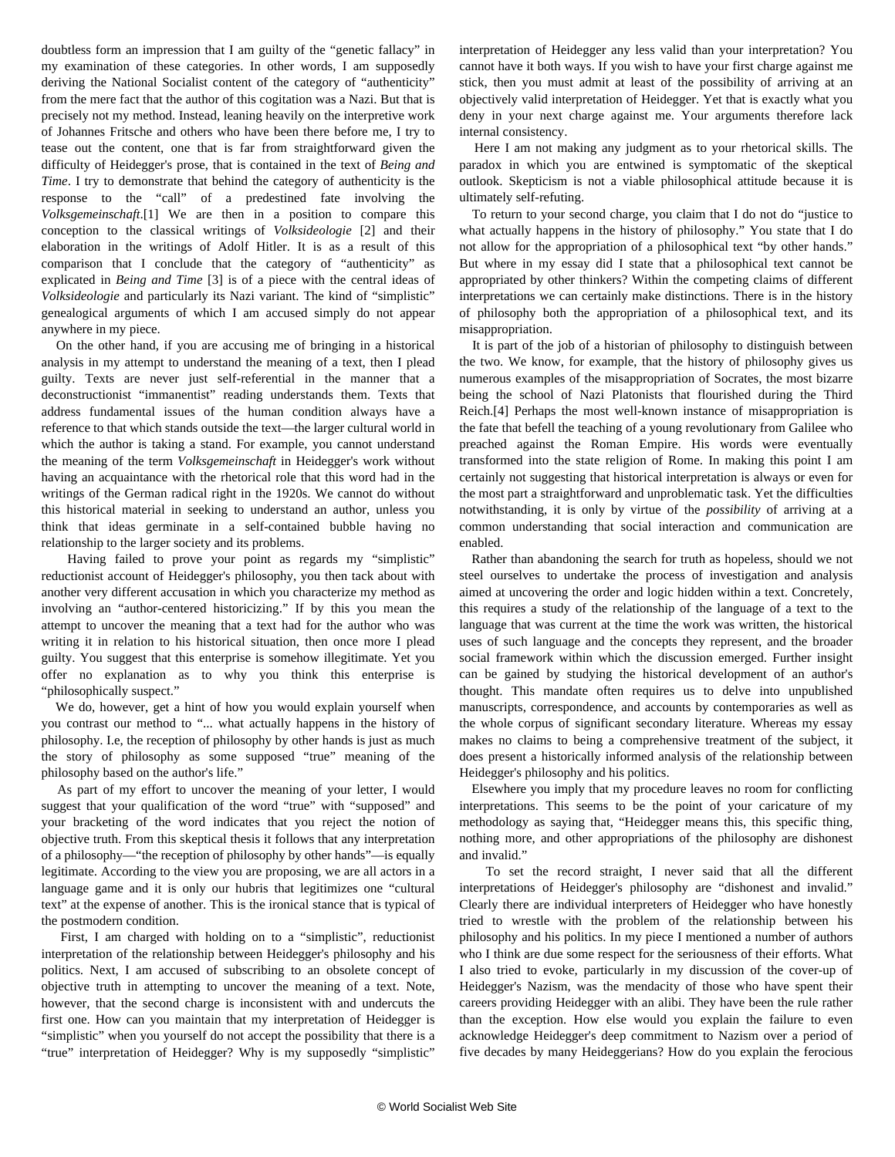doubtless form an impression that I am guilty of the "genetic fallacy" in my examination of these categories. In other words, I am supposedly deriving the National Socialist content of the category of "authenticity" from the mere fact that the author of this cogitation was a Nazi. But that is precisely not my method. Instead, leaning heavily on the interpretive work of Johannes Fritsche and others who have been there before me, I try to tease out the content, one that is far from straightforward given the difficulty of Heidegger's prose, that is contained in the text of *Being and Time*. I try to demonstrate that behind the category of authenticity is the response to the "call" of a predestined fate involving the *Volksgemeinschaft*.[1] We are then in a position to compare this conception to the classical writings of *Volksideologie* [2] and their elaboration in the writings of Adolf Hitler. It is as a result of this comparison that I conclude that the category of "authenticity" as explicated in *Being and Time* [3] is of a piece with the central ideas of *Volksideologie* and particularly its Nazi variant. The kind of "simplistic" genealogical arguments of which I am accused simply do not appear anywhere in my piece.

 On the other hand, if you are accusing me of bringing in a historical analysis in my attempt to understand the meaning of a text, then I plead guilty. Texts are never just self-referential in the manner that a deconstructionist "immanentist" reading understands them. Texts that address fundamental issues of the human condition always have a reference to that which stands outside the text—the larger cultural world in which the author is taking a stand. For example, you cannot understand the meaning of the term *Volksgemeinschaft* in Heidegger's work without having an acquaintance with the rhetorical role that this word had in the writings of the German radical right in the 1920s. We cannot do without this historical material in seeking to understand an author, unless you think that ideas germinate in a self-contained bubble having no relationship to the larger society and its problems.

 Having failed to prove your point as regards my "simplistic" reductionist account of Heidegger's philosophy, you then tack about with another very different accusation in which you characterize my method as involving an "author-centered historicizing." If by this you mean the attempt to uncover the meaning that a text had for the author who was writing it in relation to his historical situation, then once more I plead guilty. You suggest that this enterprise is somehow illegitimate. Yet you offer no explanation as to why you think this enterprise is "philosophically suspect."

 We do, however, get a hint of how you would explain yourself when you contrast our method to "... what actually happens in the history of philosophy. I.e, the reception of philosophy by other hands is just as much the story of philosophy as some supposed "true" meaning of the philosophy based on the author's life."

 As part of my effort to uncover the meaning of your letter, I would suggest that your qualification of the word "true" with "supposed" and your bracketing of the word indicates that you reject the notion of objective truth. From this skeptical thesis it follows that any interpretation of a philosophy—"the reception of philosophy by other hands"—is equally legitimate. According to the view you are proposing, we are all actors in a language game and it is only our hubris that legitimizes one "cultural text" at the expense of another. This is the ironical stance that is typical of the postmodern condition.

 First, I am charged with holding on to a "simplistic", reductionist interpretation of the relationship between Heidegger's philosophy and his politics. Next, I am accused of subscribing to an obsolete concept of objective truth in attempting to uncover the meaning of a text. Note, however, that the second charge is inconsistent with and undercuts the first one. How can you maintain that my interpretation of Heidegger is "simplistic" when you yourself do not accept the possibility that there is a "true" interpretation of Heidegger? Why is my supposedly "simplistic"

interpretation of Heidegger any less valid than your interpretation? You cannot have it both ways. If you wish to have your first charge against me stick, then you must admit at least of the possibility of arriving at an objectively valid interpretation of Heidegger. Yet that is exactly what you deny in your next charge against me. Your arguments therefore lack internal consistency.

 Here I am not making any judgment as to your rhetorical skills. The paradox in which you are entwined is symptomatic of the skeptical outlook. Skepticism is not a viable philosophical attitude because it is ultimately self-refuting.

 To return to your second charge, you claim that I do not do "justice to what actually happens in the history of philosophy." You state that I do not allow for the appropriation of a philosophical text "by other hands." But where in my essay did I state that a philosophical text cannot be appropriated by other thinkers? Within the competing claims of different interpretations we can certainly make distinctions. There is in the history of philosophy both the appropriation of a philosophical text, and its misappropriation.

 It is part of the job of a historian of philosophy to distinguish between the two. We know, for example, that the history of philosophy gives us numerous examples of the misappropriation of Socrates, the most bizarre being the school of Nazi Platonists that flourished during the Third Reich.[4] Perhaps the most well-known instance of misappropriation is the fate that befell the teaching of a young revolutionary from Galilee who preached against the Roman Empire. His words were eventually transformed into the state religion of Rome. In making this point I am certainly not suggesting that historical interpretation is always or even for the most part a straightforward and unproblematic task. Yet the difficulties notwithstanding, it is only by virtue of the *possibility* of arriving at a common understanding that social interaction and communication are enabled.

 Rather than abandoning the search for truth as hopeless, should we not steel ourselves to undertake the process of investigation and analysis aimed at uncovering the order and logic hidden within a text. Concretely, this requires a study of the relationship of the language of a text to the language that was current at the time the work was written, the historical uses of such language and the concepts they represent, and the broader social framework within which the discussion emerged. Further insight can be gained by studying the historical development of an author's thought. This mandate often requires us to delve into unpublished manuscripts, correspondence, and accounts by contemporaries as well as the whole corpus of significant secondary literature. Whereas my essay makes no claims to being a comprehensive treatment of the subject, it does present a historically informed analysis of the relationship between Heidegger's philosophy and his politics.

 Elsewhere you imply that my procedure leaves no room for conflicting interpretations. This seems to be the point of your caricature of my methodology as saying that, "Heidegger means this, this specific thing, nothing more, and other appropriations of the philosophy are dishonest and invalid."

 To set the record straight, I never said that all the different interpretations of Heidegger's philosophy are "dishonest and invalid." Clearly there are individual interpreters of Heidegger who have honestly tried to wrestle with the problem of the relationship between his philosophy and his politics. In my piece I mentioned a number of authors who I think are due some respect for the seriousness of their efforts. What I also tried to evoke, particularly in my discussion of the cover-up of Heidegger's Nazism, was the mendacity of those who have spent their careers providing Heidegger with an alibi. They have been the rule rather than the exception. How else would you explain the failure to even acknowledge Heidegger's deep commitment to Nazism over a period of five decades by many Heideggerians? How do you explain the ferocious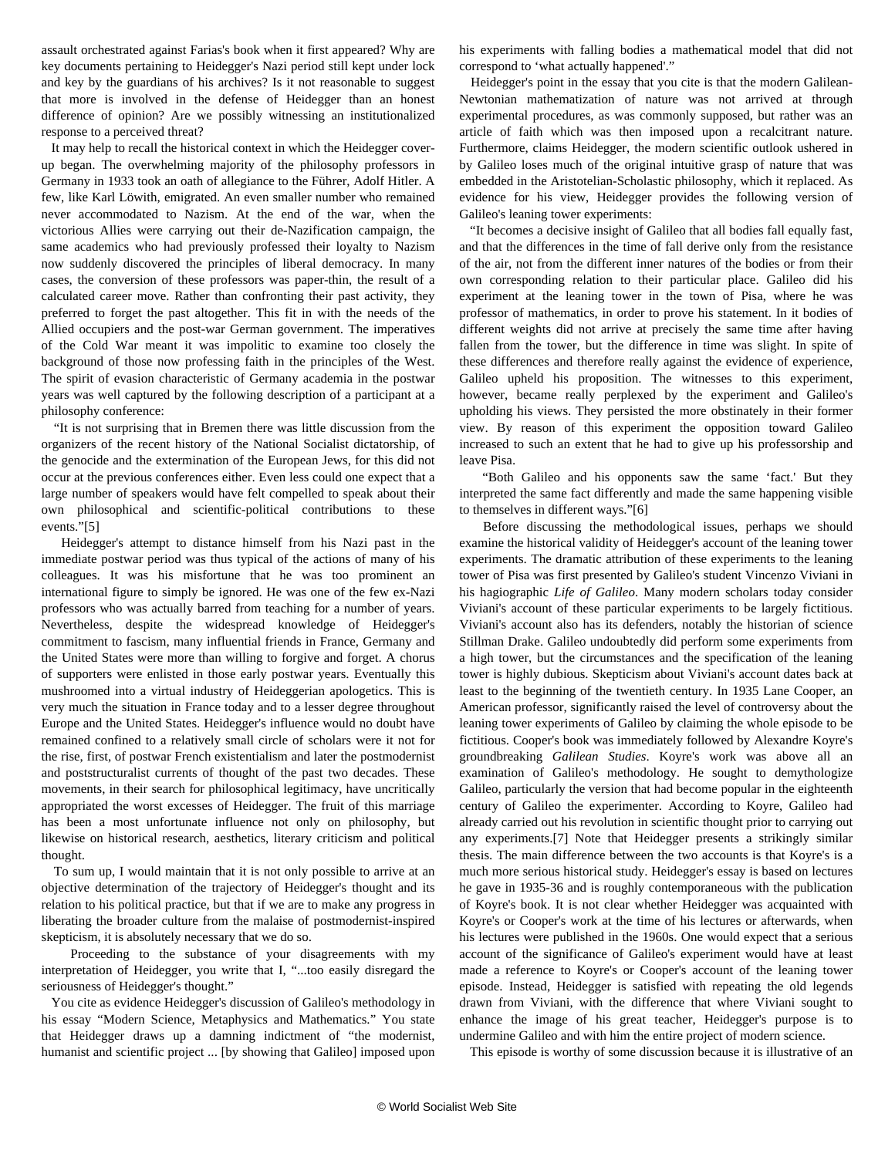assault orchestrated against Farias's book when it first appeared? Why are key documents pertaining to Heidegger's Nazi period still kept under lock and key by the guardians of his archives? Is it not reasonable to suggest that more is involved in the defense of Heidegger than an honest difference of opinion? Are we possibly witnessing an institutionalized response to a perceived threat?

 It may help to recall the historical context in which the Heidegger coverup began. The overwhelming majority of the philosophy professors in Germany in 1933 took an oath of allegiance to the Führer, Adolf Hitler. A few, like Karl Löwith, emigrated. An even smaller number who remained never accommodated to Nazism. At the end of the war, when the victorious Allies were carrying out their de-Nazification campaign, the same academics who had previously professed their loyalty to Nazism now suddenly discovered the principles of liberal democracy. In many cases, the conversion of these professors was paper-thin, the result of a calculated career move. Rather than confronting their past activity, they preferred to forget the past altogether. This fit in with the needs of the Allied occupiers and the post-war German government. The imperatives of the Cold War meant it was impolitic to examine too closely the background of those now professing faith in the principles of the West. The spirit of evasion characteristic of Germany academia in the postwar years was well captured by the following description of a participant at a philosophy conference:

 "It is not surprising that in Bremen there was little discussion from the organizers of the recent history of the National Socialist dictatorship, of the genocide and the extermination of the European Jews, for this did not occur at the previous conferences either. Even less could one expect that a large number of speakers would have felt compelled to speak about their own philosophical and scientific-political contributions to these events."[5]

 Heidegger's attempt to distance himself from his Nazi past in the immediate postwar period was thus typical of the actions of many of his colleagues. It was his misfortune that he was too prominent an international figure to simply be ignored. He was one of the few ex-Nazi professors who was actually barred from teaching for a number of years. Nevertheless, despite the widespread knowledge of Heidegger's commitment to fascism, many influential friends in France, Germany and the United States were more than willing to forgive and forget. A chorus of supporters were enlisted in those early postwar years. Eventually this mushroomed into a virtual industry of Heideggerian apologetics. This is very much the situation in France today and to a lesser degree throughout Europe and the United States. Heidegger's influence would no doubt have remained confined to a relatively small circle of scholars were it not for the rise, first, of postwar French existentialism and later the postmodernist and poststructuralist currents of thought of the past two decades. These movements, in their search for philosophical legitimacy, have uncritically appropriated the worst excesses of Heidegger. The fruit of this marriage has been a most unfortunate influence not only on philosophy, but likewise on historical research, aesthetics, literary criticism and political thought.

 To sum up, I would maintain that it is not only possible to arrive at an objective determination of the trajectory of Heidegger's thought and its relation to his political practice, but that if we are to make any progress in liberating the broader culture from the malaise of postmodernist-inspired skepticism, it is absolutely necessary that we do so.

 Proceeding to the substance of your disagreements with my interpretation of Heidegger, you write that I, "...too easily disregard the seriousness of Heidegger's thought."

 You cite as evidence Heidegger's discussion of Galileo's methodology in his essay "Modern Science, Metaphysics and Mathematics." You state that Heidegger draws up a damning indictment of "the modernist, humanist and scientific project ... [by showing that Galileo] imposed upon

his experiments with falling bodies a mathematical model that did not correspond to 'what actually happened'."

 Heidegger's point in the essay that you cite is that the modern Galilean-Newtonian mathematization of nature was not arrived at through experimental procedures, as was commonly supposed, but rather was an article of faith which was then imposed upon a recalcitrant nature. Furthermore, claims Heidegger, the modern scientific outlook ushered in by Galileo loses much of the original intuitive grasp of nature that was embedded in the Aristotelian-Scholastic philosophy, which it replaced. As evidence for his view, Heidegger provides the following version of Galileo's leaning tower experiments:

 "It becomes a decisive insight of Galileo that all bodies fall equally fast, and that the differences in the time of fall derive only from the resistance of the air, not from the different inner natures of the bodies or from their own corresponding relation to their particular place. Galileo did his experiment at the leaning tower in the town of Pisa, where he was professor of mathematics, in order to prove his statement. In it bodies of different weights did not arrive at precisely the same time after having fallen from the tower, but the difference in time was slight. In spite of these differences and therefore really against the evidence of experience, Galileo upheld his proposition. The witnesses to this experiment, however, became really perplexed by the experiment and Galileo's upholding his views. They persisted the more obstinately in their former view. By reason of this experiment the opposition toward Galileo increased to such an extent that he had to give up his professorship and leave Pisa.

 "Both Galileo and his opponents saw the same 'fact.' But they interpreted the same fact differently and made the same happening visible to themselves in different ways."[6]

 Before discussing the methodological issues, perhaps we should examine the historical validity of Heidegger's account of the leaning tower experiments. The dramatic attribution of these experiments to the leaning tower of Pisa was first presented by Galileo's student Vincenzo Viviani in his hagiographic *Life of Galileo*. Many modern scholars today consider Viviani's account of these particular experiments to be largely fictitious. Viviani's account also has its defenders, notably the historian of science Stillman Drake. Galileo undoubtedly did perform some experiments from a high tower, but the circumstances and the specification of the leaning tower is highly dubious. Skepticism about Viviani's account dates back at least to the beginning of the twentieth century. In 1935 Lane Cooper, an American professor, significantly raised the level of controversy about the leaning tower experiments of Galileo by claiming the whole episode to be fictitious. Cooper's book was immediately followed by Alexandre Koyre's groundbreaking *Galilean Studies*. Koyre's work was above all an examination of Galileo's methodology. He sought to demythologize Galileo, particularly the version that had become popular in the eighteenth century of Galileo the experimenter. According to Koyre, Galileo had already carried out his revolution in scientific thought prior to carrying out any experiments.[7] Note that Heidegger presents a strikingly similar thesis. The main difference between the two accounts is that Koyre's is a much more serious historical study. Heidegger's essay is based on lectures he gave in 1935-36 and is roughly contemporaneous with the publication of Koyre's book. It is not clear whether Heidegger was acquainted with Koyre's or Cooper's work at the time of his lectures or afterwards, when his lectures were published in the 1960s. One would expect that a serious account of the significance of Galileo's experiment would have at least made a reference to Koyre's or Cooper's account of the leaning tower episode. Instead, Heidegger is satisfied with repeating the old legends drawn from Viviani, with the difference that where Viviani sought to enhance the image of his great teacher, Heidegger's purpose is to undermine Galileo and with him the entire project of modern science.

This episode is worthy of some discussion because it is illustrative of an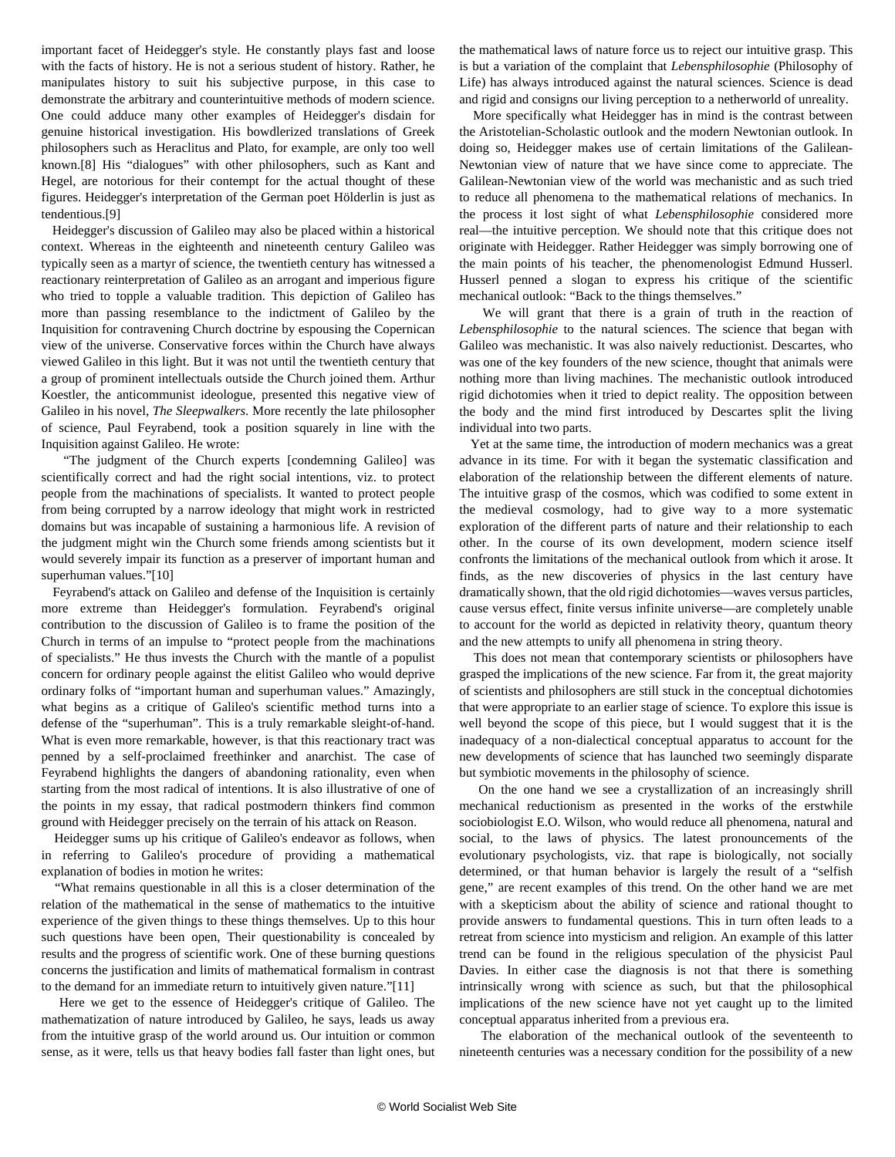important facet of Heidegger's style. He constantly plays fast and loose with the facts of history. He is not a serious student of history. Rather, he manipulates history to suit his subjective purpose, in this case to demonstrate the arbitrary and counterintuitive methods of modern science. One could adduce many other examples of Heidegger's disdain for genuine historical investigation. His bowdlerized translations of Greek philosophers such as Heraclitus and Plato, for example, are only too well known.[8] His "dialogues" with other philosophers, such as Kant and Hegel, are notorious for their contempt for the actual thought of these figures. Heidegger's interpretation of the German poet Hölderlin is just as tendentious.[9]

 Heidegger's discussion of Galileo may also be placed within a historical context. Whereas in the eighteenth and nineteenth century Galileo was typically seen as a martyr of science, the twentieth century has witnessed a reactionary reinterpretation of Galileo as an arrogant and imperious figure who tried to topple a valuable tradition. This depiction of Galileo has more than passing resemblance to the indictment of Galileo by the Inquisition for contravening Church doctrine by espousing the Copernican view of the universe. Conservative forces within the Church have always viewed Galileo in this light. But it was not until the twentieth century that a group of prominent intellectuals outside the Church joined them. Arthur Koestler, the anticommunist ideologue, presented this negative view of Galileo in his novel, *The Sleepwalkers*. More recently the late philosopher of science, Paul Feyrabend, took a position squarely in line with the Inquisition against Galileo. He wrote:

 "The judgment of the Church experts [condemning Galileo] was scientifically correct and had the right social intentions, viz. to protect people from the machinations of specialists. It wanted to protect people from being corrupted by a narrow ideology that might work in restricted domains but was incapable of sustaining a harmonious life. A revision of the judgment might win the Church some friends among scientists but it would severely impair its function as a preserver of important human and superhuman values."[10]

 Feyrabend's attack on Galileo and defense of the Inquisition is certainly more extreme than Heidegger's formulation. Feyrabend's original contribution to the discussion of Galileo is to frame the position of the Church in terms of an impulse to "protect people from the machinations of specialists." He thus invests the Church with the mantle of a populist concern for ordinary people against the elitist Galileo who would deprive ordinary folks of "important human and superhuman values." Amazingly, what begins as a critique of Galileo's scientific method turns into a defense of the "superhuman". This is a truly remarkable sleight-of-hand. What is even more remarkable, however, is that this reactionary tract was penned by a self-proclaimed freethinker and anarchist. The case of Feyrabend highlights the dangers of abandoning rationality, even when starting from the most radical of intentions. It is also illustrative of one of the points in my essay, that radical postmodern thinkers find common ground with Heidegger precisely on the terrain of his attack on Reason.

 Heidegger sums up his critique of Galileo's endeavor as follows, when in referring to Galileo's procedure of providing a mathematical explanation of bodies in motion he writes:

 "What remains questionable in all this is a closer determination of the relation of the mathematical in the sense of mathematics to the intuitive experience of the given things to these things themselves. Up to this hour such questions have been open, Their questionability is concealed by results and the progress of scientific work. One of these burning questions concerns the justification and limits of mathematical formalism in contrast to the demand for an immediate return to intuitively given nature."[11]

 Here we get to the essence of Heidegger's critique of Galileo. The mathematization of nature introduced by Galileo, he says, leads us away from the intuitive grasp of the world around us. Our intuition or common sense, as it were, tells us that heavy bodies fall faster than light ones, but the mathematical laws of nature force us to reject our intuitive grasp. This is but a variation of the complaint that *Lebensphilosophie* (Philosophy of Life) has always introduced against the natural sciences. Science is dead and rigid and consigns our living perception to a netherworld of unreality.

 More specifically what Heidegger has in mind is the contrast between the Aristotelian-Scholastic outlook and the modern Newtonian outlook. In doing so, Heidegger makes use of certain limitations of the Galilean-Newtonian view of nature that we have since come to appreciate. The Galilean-Newtonian view of the world was mechanistic and as such tried to reduce all phenomena to the mathematical relations of mechanics. In the process it lost sight of what *Lebensphilosophie* considered more real—the intuitive perception. We should note that this critique does not originate with Heidegger. Rather Heidegger was simply borrowing one of the main points of his teacher, the phenomenologist Edmund Husserl. Husserl penned a slogan to express his critique of the scientific mechanical outlook: "Back to the things themselves."

 We will grant that there is a grain of truth in the reaction of *Lebensphilosophie* to the natural sciences. The science that began with Galileo was mechanistic. It was also naively reductionist. Descartes, who was one of the key founders of the new science, thought that animals were nothing more than living machines. The mechanistic outlook introduced rigid dichotomies when it tried to depict reality. The opposition between the body and the mind first introduced by Descartes split the living individual into two parts.

 Yet at the same time, the introduction of modern mechanics was a great advance in its time. For with it began the systematic classification and elaboration of the relationship between the different elements of nature. The intuitive grasp of the cosmos, which was codified to some extent in the medieval cosmology, had to give way to a more systematic exploration of the different parts of nature and their relationship to each other. In the course of its own development, modern science itself confronts the limitations of the mechanical outlook from which it arose. It finds, as the new discoveries of physics in the last century have dramatically shown, that the old rigid dichotomies—waves versus particles, cause versus effect, finite versus infinite universe—are completely unable to account for the world as depicted in relativity theory, quantum theory and the new attempts to unify all phenomena in string theory.

 This does not mean that contemporary scientists or philosophers have grasped the implications of the new science. Far from it, the great majority of scientists and philosophers are still stuck in the conceptual dichotomies that were appropriate to an earlier stage of science. To explore this issue is well beyond the scope of this piece, but I would suggest that it is the inadequacy of a non-dialectical conceptual apparatus to account for the new developments of science that has launched two seemingly disparate but symbiotic movements in the philosophy of science.

 On the one hand we see a crystallization of an increasingly shrill mechanical reductionism as presented in the works of the erstwhile sociobiologist E.O. Wilson, who would reduce all phenomena, natural and social, to the laws of physics. The latest pronouncements of the evolutionary psychologists, viz. that rape is biologically, not socially determined, or that human behavior is largely the result of a "selfish gene," are recent examples of this trend. On the other hand we are met with a skepticism about the ability of science and rational thought to provide answers to fundamental questions. This in turn often leads to a retreat from science into mysticism and religion. An example of this latter trend can be found in the religious speculation of the physicist Paul Davies. In either case the diagnosis is not that there is something intrinsically wrong with science as such, but that the philosophical implications of the new science have not yet caught up to the limited conceptual apparatus inherited from a previous era.

 The elaboration of the mechanical outlook of the seventeenth to nineteenth centuries was a necessary condition for the possibility of a new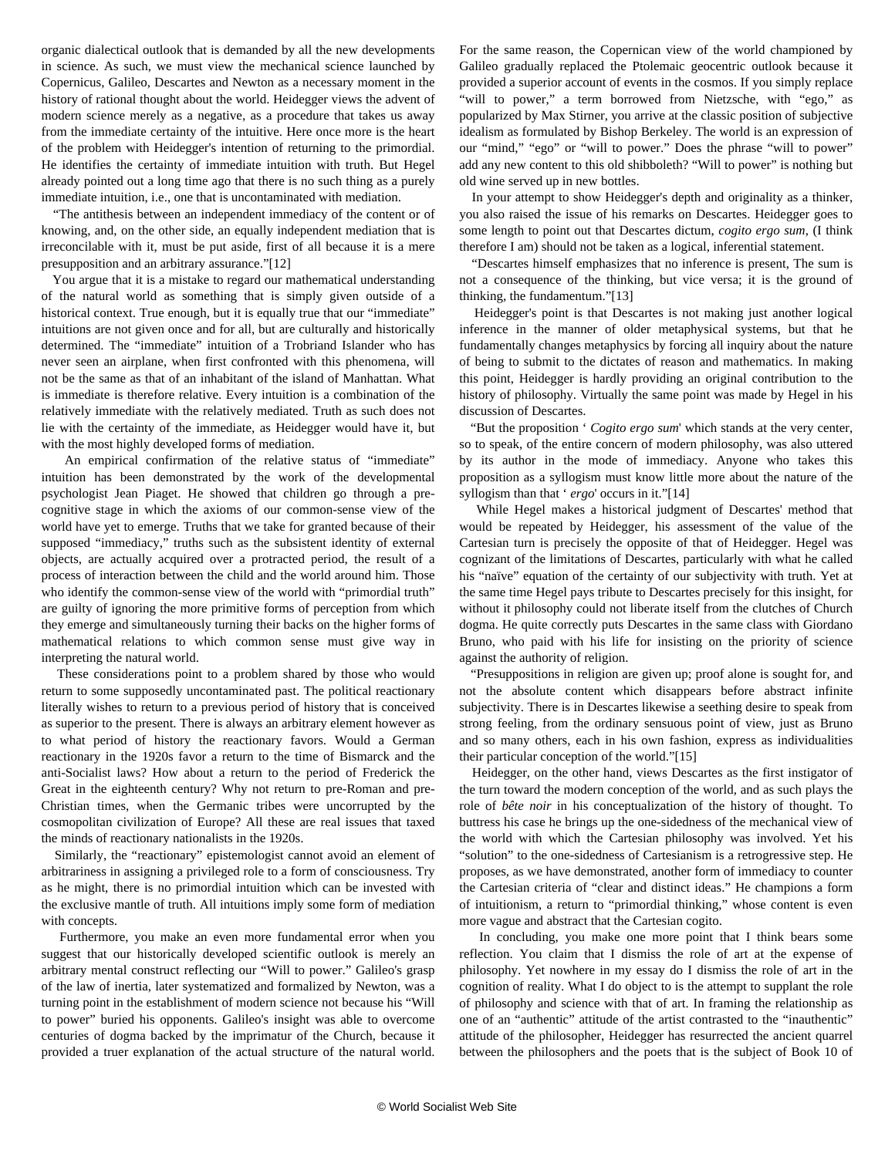organic dialectical outlook that is demanded by all the new developments in science. As such, we must view the mechanical science launched by Copernicus, Galileo, Descartes and Newton as a necessary moment in the history of rational thought about the world. Heidegger views the advent of modern science merely as a negative, as a procedure that takes us away from the immediate certainty of the intuitive. Here once more is the heart of the problem with Heidegger's intention of returning to the primordial. He identifies the certainty of immediate intuition with truth. But Hegel already pointed out a long time ago that there is no such thing as a purely immediate intuition, i.e., one that is uncontaminated with mediation.

 "The antithesis between an independent immediacy of the content or of knowing, and, on the other side, an equally independent mediation that is irreconcilable with it, must be put aside, first of all because it is a mere presupposition and an arbitrary assurance."[12]

 You argue that it is a mistake to regard our mathematical understanding of the natural world as something that is simply given outside of a historical context. True enough, but it is equally true that our "immediate" intuitions are not given once and for all, but are culturally and historically determined. The "immediate" intuition of a Trobriand Islander who has never seen an airplane, when first confronted with this phenomena, will not be the same as that of an inhabitant of the island of Manhattan. What is immediate is therefore relative. Every intuition is a combination of the relatively immediate with the relatively mediated. Truth as such does not lie with the certainty of the immediate, as Heidegger would have it, but with the most highly developed forms of mediation.

 An empirical confirmation of the relative status of "immediate" intuition has been demonstrated by the work of the developmental psychologist Jean Piaget. He showed that children go through a precognitive stage in which the axioms of our common-sense view of the world have yet to emerge. Truths that we take for granted because of their supposed "immediacy," truths such as the subsistent identity of external objects, are actually acquired over a protracted period, the result of a process of interaction between the child and the world around him. Those who identify the common-sense view of the world with "primordial truth" are guilty of ignoring the more primitive forms of perception from which they emerge and simultaneously turning their backs on the higher forms of mathematical relations to which common sense must give way in interpreting the natural world.

 These considerations point to a problem shared by those who would return to some supposedly uncontaminated past. The political reactionary literally wishes to return to a previous period of history that is conceived as superior to the present. There is always an arbitrary element however as to what period of history the reactionary favors. Would a German reactionary in the 1920s favor a return to the time of Bismarck and the anti-Socialist laws? How about a return to the period of Frederick the Great in the eighteenth century? Why not return to pre-Roman and pre-Christian times, when the Germanic tribes were uncorrupted by the cosmopolitan civilization of Europe? All these are real issues that taxed the minds of reactionary nationalists in the 1920s.

 Similarly, the "reactionary" epistemologist cannot avoid an element of arbitrariness in assigning a privileged role to a form of consciousness. Try as he might, there is no primordial intuition which can be invested with the exclusive mantle of truth. All intuitions imply some form of mediation with concepts.

 Furthermore, you make an even more fundamental error when you suggest that our historically developed scientific outlook is merely an arbitrary mental construct reflecting our "Will to power." Galileo's grasp of the law of inertia, later systematized and formalized by Newton, was a turning point in the establishment of modern science not because his "Will to power" buried his opponents. Galileo's insight was able to overcome centuries of dogma backed by the imprimatur of the Church, because it provided a truer explanation of the actual structure of the natural world.

For the same reason, the Copernican view of the world championed by Galileo gradually replaced the Ptolemaic geocentric outlook because it provided a superior account of events in the cosmos. If you simply replace "will to power," a term borrowed from Nietzsche, with "ego," as popularized by Max Stirner, you arrive at the classic position of subjective idealism as formulated by Bishop Berkeley. The world is an expression of our "mind," "ego" or "will to power." Does the phrase "will to power" add any new content to this old shibboleth? "Will to power" is nothing but old wine served up in new bottles.

 In your attempt to show Heidegger's depth and originality as a thinker, you also raised the issue of his remarks on Descartes. Heidegger goes to some length to point out that Descartes dictum, *cogito ergo sum*, (I think therefore I am) should not be taken as a logical, inferential statement.

 "Descartes himself emphasizes that no inference is present, The sum is not a consequence of the thinking, but vice versa; it is the ground of thinking, the fundamentum."[13]

 Heidegger's point is that Descartes is not making just another logical inference in the manner of older metaphysical systems, but that he fundamentally changes metaphysics by forcing all inquiry about the nature of being to submit to the dictates of reason and mathematics. In making this point, Heidegger is hardly providing an original contribution to the history of philosophy. Virtually the same point was made by Hegel in his discussion of Descartes.

 "But the proposition ' *Cogito ergo sum*' which stands at the very center, so to speak, of the entire concern of modern philosophy, was also uttered by its author in the mode of immediacy. Anyone who takes this proposition as a syllogism must know little more about the nature of the syllogism than that ' *ergo*' occurs in it."[14]

 While Hegel makes a historical judgment of Descartes' method that would be repeated by Heidegger, his assessment of the value of the Cartesian turn is precisely the opposite of that of Heidegger. Hegel was cognizant of the limitations of Descartes, particularly with what he called his "naïve" equation of the certainty of our subjectivity with truth. Yet at the same time Hegel pays tribute to Descartes precisely for this insight, for without it philosophy could not liberate itself from the clutches of Church dogma. He quite correctly puts Descartes in the same class with Giordano Bruno, who paid with his life for insisting on the priority of science against the authority of religion.

 "Presuppositions in religion are given up; proof alone is sought for, and not the absolute content which disappears before abstract infinite subjectivity. There is in Descartes likewise a seething desire to speak from strong feeling, from the ordinary sensuous point of view, just as Bruno and so many others, each in his own fashion, express as individualities their particular conception of the world."[15]

 Heidegger, on the other hand, views Descartes as the first instigator of the turn toward the modern conception of the world, and as such plays the role of *bête noir* in his conceptualization of the history of thought. To buttress his case he brings up the one-sidedness of the mechanical view of the world with which the Cartesian philosophy was involved. Yet his "solution" to the one-sidedness of Cartesianism is a retrogressive step. He proposes, as we have demonstrated, another form of immediacy to counter the Cartesian criteria of "clear and distinct ideas." He champions a form of intuitionism, a return to "primordial thinking," whose content is even more vague and abstract that the Cartesian cogito.

 In concluding, you make one more point that I think bears some reflection. You claim that I dismiss the role of art at the expense of philosophy. Yet nowhere in my essay do I dismiss the role of art in the cognition of reality. What I do object to is the attempt to supplant the role of philosophy and science with that of art. In framing the relationship as one of an "authentic" attitude of the artist contrasted to the "inauthentic" attitude of the philosopher, Heidegger has resurrected the ancient quarrel between the philosophers and the poets that is the subject of Book 10 of